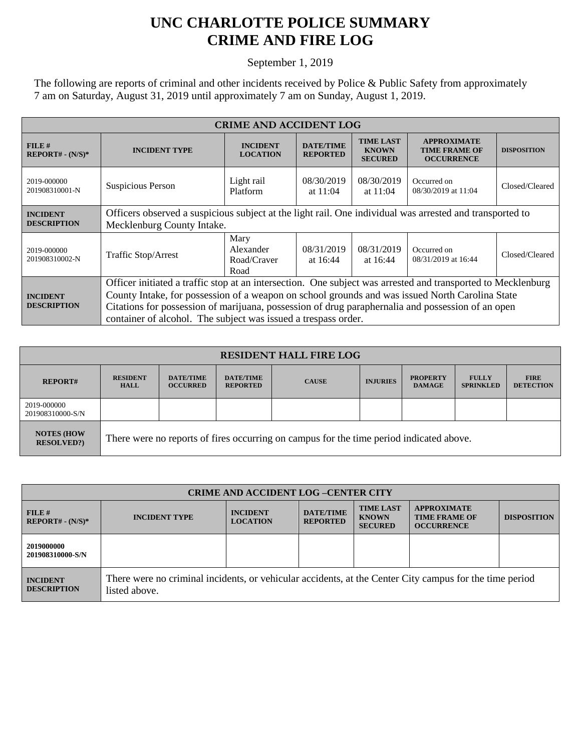## **UNC CHARLOTTE POLICE SUMMARY CRIME AND FIRE LOG**

September 1, 2019

The following are reports of criminal and other incidents received by Police & Public Safety from approximately 7 am on Saturday, August 31, 2019 until approximately 7 am on Sunday, August 1, 2019.

| <b>CRIME AND ACCIDENT LOG</b>         |                                                                                                                                                                                                                                                                                                                                                                                        |                                          |                                     |                                                    |                                                                 |                    |  |
|---------------------------------------|----------------------------------------------------------------------------------------------------------------------------------------------------------------------------------------------------------------------------------------------------------------------------------------------------------------------------------------------------------------------------------------|------------------------------------------|-------------------------------------|----------------------------------------------------|-----------------------------------------------------------------|--------------------|--|
| FILE#<br>$REPORT# - (N/S)*$           | <b>INCIDENT TYPE</b>                                                                                                                                                                                                                                                                                                                                                                   | <b>INCIDENT</b><br><b>LOCATION</b>       | <b>DATE/TIME</b><br><b>REPORTED</b> | <b>TIME LAST</b><br><b>KNOWN</b><br><b>SECURED</b> | <b>APPROXIMATE</b><br><b>TIME FRAME OF</b><br><b>OCCURRENCE</b> | <b>DISPOSITION</b> |  |
| 2019-000000<br>201908310001-N         | Suspicious Person                                                                                                                                                                                                                                                                                                                                                                      | Light rail<br>Platform                   | 08/30/2019<br>at $11:04$            | 08/30/2019<br>at $11:04$                           | Occurred on<br>08/30/2019 at 11:04                              | Closed/Cleared     |  |
| <b>INCIDENT</b><br><b>DESCRIPTION</b> | Officers observed a suspicious subject at the light rail. One individual was arrested and transported to<br>Mecklenburg County Intake.                                                                                                                                                                                                                                                 |                                          |                                     |                                                    |                                                                 |                    |  |
| 2019-000000<br>201908310002-N         | Traffic Stop/Arrest                                                                                                                                                                                                                                                                                                                                                                    | Mary<br>Alexander<br>Road/Craver<br>Road | 08/31/2019<br>at $16:44$            | 08/31/2019<br>at $16:44$                           | Occurred on<br>08/31/2019 at 16:44                              | Closed/Cleared     |  |
| <b>INCIDENT</b><br><b>DESCRIPTION</b> | Officer initiated a traffic stop at an intersection. One subject was arrested and transported to Mecklenburg<br>County Intake, for possession of a weapon on school grounds and was issued North Carolina State<br>Citations for possession of marijuana, possession of drug paraphernalia and possession of an open<br>container of alcohol. The subject was issued a trespass order. |                                          |                                     |                                                    |                                                                 |                    |  |

| <b>RESIDENT HALL FIRE LOG</b>         |                                                                                         |                                     |                                     |              |                 |                                  |                                  |                                 |
|---------------------------------------|-----------------------------------------------------------------------------------------|-------------------------------------|-------------------------------------|--------------|-----------------|----------------------------------|----------------------------------|---------------------------------|
| <b>REPORT#</b>                        | <b>RESIDENT</b><br><b>HALL</b>                                                          | <b>DATE/TIME</b><br><b>OCCURRED</b> | <b>DATE/TIME</b><br><b>REPORTED</b> | <b>CAUSE</b> | <b>INJURIES</b> | <b>PROPERTY</b><br><b>DAMAGE</b> | <b>FULLY</b><br><b>SPRINKLED</b> | <b>FIRE</b><br><b>DETECTION</b> |
| 2019-000000<br>201908310000-S/N       |                                                                                         |                                     |                                     |              |                 |                                  |                                  |                                 |
| <b>NOTES (HOW</b><br><b>RESOLVED?</b> | There were no reports of fires occurring on campus for the time period indicated above. |                                     |                                     |              |                 |                                  |                                  |                                 |

| <b>CRIME AND ACCIDENT LOG-CENTER CITY</b> |                                                                                                                          |                                    |                                     |                                                    |                                                                 |                    |  |
|-------------------------------------------|--------------------------------------------------------------------------------------------------------------------------|------------------------------------|-------------------------------------|----------------------------------------------------|-----------------------------------------------------------------|--------------------|--|
| FILE#<br>$REPORT# - (N/S)*$               | <b>INCIDENT TYPE</b>                                                                                                     | <b>INCIDENT</b><br><b>LOCATION</b> | <b>DATE/TIME</b><br><b>REPORTED</b> | <b>TIME LAST</b><br><b>KNOWN</b><br><b>SECURED</b> | <b>APPROXIMATE</b><br><b>TIME FRAME OF</b><br><b>OCCURRENCE</b> | <b>DISPOSITION</b> |  |
| 2019000000<br>201908310000-S/N            |                                                                                                                          |                                    |                                     |                                                    |                                                                 |                    |  |
| <b>INCIDENT</b><br><b>DESCRIPTION</b>     | There were no criminal incidents, or vehicular accidents, at the Center City campus for the time period<br>listed above. |                                    |                                     |                                                    |                                                                 |                    |  |